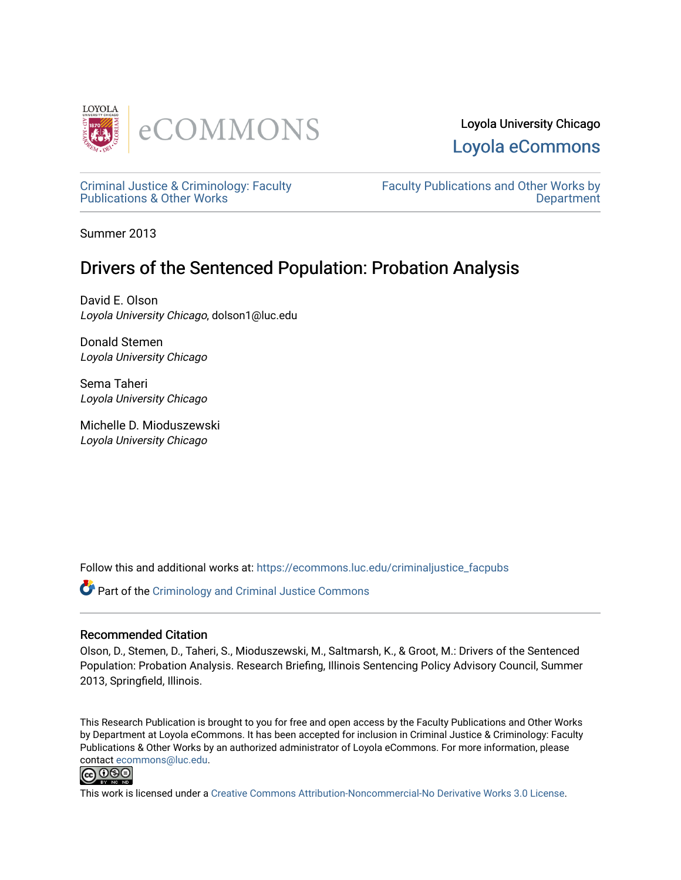

# Loyola University Chicago [Loyola eCommons](https://ecommons.luc.edu/)

[Criminal Justice & Criminology: Faculty](https://ecommons.luc.edu/criminaljustice_facpubs) [Publications & Other Works](https://ecommons.luc.edu/criminaljustice_facpubs)

[Faculty Publications and Other Works by](https://ecommons.luc.edu/faculty)  **Department** 

Summer 2013

# Drivers of the Sentenced Population: Probation Analysis

David E. Olson Loyola University Chicago, dolson1@luc.edu

Donald Stemen Loyola University Chicago

Sema Taheri Loyola University Chicago

Michelle D. Mioduszewski Loyola University Chicago

Follow this and additional works at: [https://ecommons.luc.edu/criminaljustice\\_facpubs](https://ecommons.luc.edu/criminaljustice_facpubs?utm_source=ecommons.luc.edu%2Fcriminaljustice_facpubs%2F9&utm_medium=PDF&utm_campaign=PDFCoverPages) 

Part of the [Criminology and Criminal Justice Commons](http://network.bepress.com/hgg/discipline/367?utm_source=ecommons.luc.edu%2Fcriminaljustice_facpubs%2F9&utm_medium=PDF&utm_campaign=PDFCoverPages)

#### Recommended Citation

Olson, D., Stemen, D., Taheri, S., Mioduszewski, M., Saltmarsh, K., & Groot, M.: Drivers of the Sentenced Population: Probation Analysis. Research Briefing, Illinois Sentencing Policy Advisory Council, Summer 2013, Springfield, Illinois.

This Research Publication is brought to you for free and open access by the Faculty Publications and Other Works by Department at Loyola eCommons. It has been accepted for inclusion in Criminal Justice & Criminology: Faculty Publications & Other Works by an authorized administrator of Loyola eCommons. For more information, please contact [ecommons@luc.edu.](mailto:ecommons@luc.edu)



This work is licensed under a [Creative Commons Attribution-Noncommercial-No Derivative Works 3.0 License.](https://creativecommons.org/licenses/by-nc-nd/3.0/)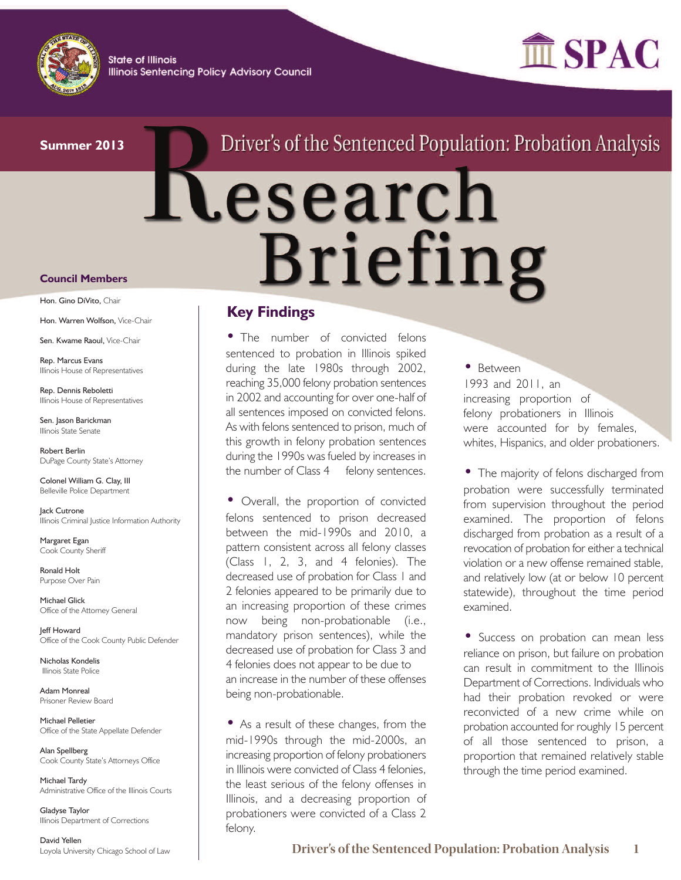

**State of Illinois Illinois Sentencing Policy Advisory Council** 



#### **Summer 2013**

# Driver's of the Sentenced Population: Probation Analysis

# **Nesearch Briefing**

## **Key Findings**

• The number of convicted felons sentenced to probation in Illinois spiked during the late 1980s through 2002, reaching 35,000 felony probation sentences in 2002 and accounting for over one-half of all sentences imposed on convicted felons. As with felons sentenced to prison, much of this growth in felony probation sentences during the 1990s was fueled by increases in the number of Class 4 felony sentences.

• Overall, the proportion of convicted felons sentenced to prison decreased between the mid-1990s and 2010, a pattern consistent across all felony classes (Class 1, 2, 3, and 4 felonies). The decreased use of probation for Class 1 and 2 felonies appeared to be primarily due to an increasing proportion of these crimes now being non-probationable (i.e., mandatory prison sentences), while the decreased use of probation for Class 3 and 4 felonies does not appear to be due to an increase in the number of these offenses being non-probationable.

• As a result of these changes, from the mid-1990s through the mid-2000s, an increasing proportion of felony probationers in Illinois were convicted of Class 4 felonies, the least serious of the felony offenses in Illinois, and a decreasing proportion of probationers were convicted of a Class 2 felony.

• Between

1993 and 2011, an increasing proportion of felony probationers in Illinois were accounted for by females, whites, Hispanics, and older probationers.

• The majority of felons discharged from probation were successfully terminated from supervision throughout the period examined. The proportion of felons discharged from probation as a result of a revocation of probation for either a technical violation or a new offense remained stable, and relatively low (at or below 10 percent statewide), throughout the time period examined.

• Success on probation can mean less reliance on prison, but failure on probation can result in commitment to the Illinois Department of Corrections. Individuals who had their probation revoked or were reconvicted of a new crime while on probation accounted for roughly 15 percent of all those sentenced to prison, a proportion that remained relatively stable through the time period examined.

#### **Council Members**

Hon. Gino DiVito, Chair

Hon. Warren Wolfson, Vice-Chair

Sen. Kwame Raoul, Vice-Chair

Rep. Marcus Evans Illinois House of Representatives

Rep. Dennis Reboletti Illinois House of Representatives

Sen. Jason Barickman Illinois State Senate

Robert Berlin DuPage County State's Attorney

Colonel William G. Clay, III Belleville Police Department

lack Cutrone Illinois Criminal Justice Information Authority

Margaret Egan Cook County Sheriff

Ronald Holt Purpose Over Pain

Michael Glick Office of the Attorney General

Jeff Howard Office of the Cook County Public Defender

Nicholas Kondelis Illinois State Police

Adam Monreal Prisoner Review Board

Michael Pelletier Office of the State Appellate Defender

Alan Spellberg Cook County State's Attorneys Office

Michael Tardy Administrative Office of the Illinois Courts

Gladyse Taylor Illinois Department of Corrections

David Yellen Loyola University Chicago School of Law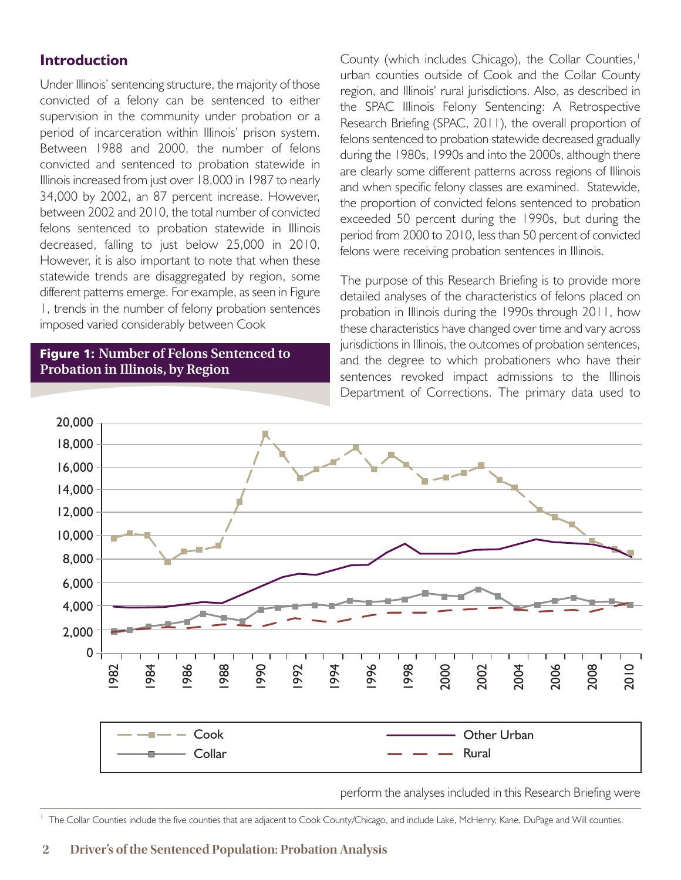# **Introduction**

Under Illinois' sentencing structure, the majority of those convicted of a felony can be sentenced to either supervision in the community under probation or a period of incarceration within Illinois' prison system. Between 1988 and 2000, the number of felons convicted and sentenced to probation statewide in Illinois increased from just over 18,000 in 1987 to nearly 34,000 by 2002, an 87 percent increase. However, between 2002 and 2010, the total number of convicted felons sentenced to probation statewide in Illinois decreased, falling to just below 25,000 in 2010. However, it is also important to note that when these statewide trends are disaggregated by region, some different patterns emerge. For example, as seen in Figure 1, trends in the number of felony probation sentences imposed varied considerably between Cook

#### Figure 1: **Number of Felons Sentenced to Probation in Illinois, by Region**

County (which includes Chicago), the Collar Counties, 1 urban counties outside of Cook and the Collar County region, and Illinois' rural jurisdictions. Also, as described in the SPAC Illinois Felony Sentencing: A Retrospective Research Briefing (SPAC, 2011), the overall proportion of felons sentenced to probation statewide decreased gradually during the 1980s, 1990s and into the 2000s, although there are clearly some different patterns across regions of Illinois and when specific felony classes are examined. Statewide, the proportion of convicted felons sentenced to probation exceeded 50 percent during the 1990s, but during the period from 2000 to 2010, less than 50 percent of convicted felons were receiving probation sentences in Illinois.

The purpose of this Research Briefing is to provide more detailed analyses of the characteristics of felons placed on probation in Illinois during the 1990s through 2011, how these characteristics have changed over time and vary across jurisdictions in Illinois, the outcomes of probation sentences, and the degree to which probationers who have their sentences revoked impact admissions to the Illinois Department of Corrections. The primary data used to



perform the analyses included in this Research Briefing were

<sup>1</sup> The Collar Counties include the five counties that are adjacent to Cook County/Chicago, and include Lake, McHenry, Kane, DuPage and Will counties.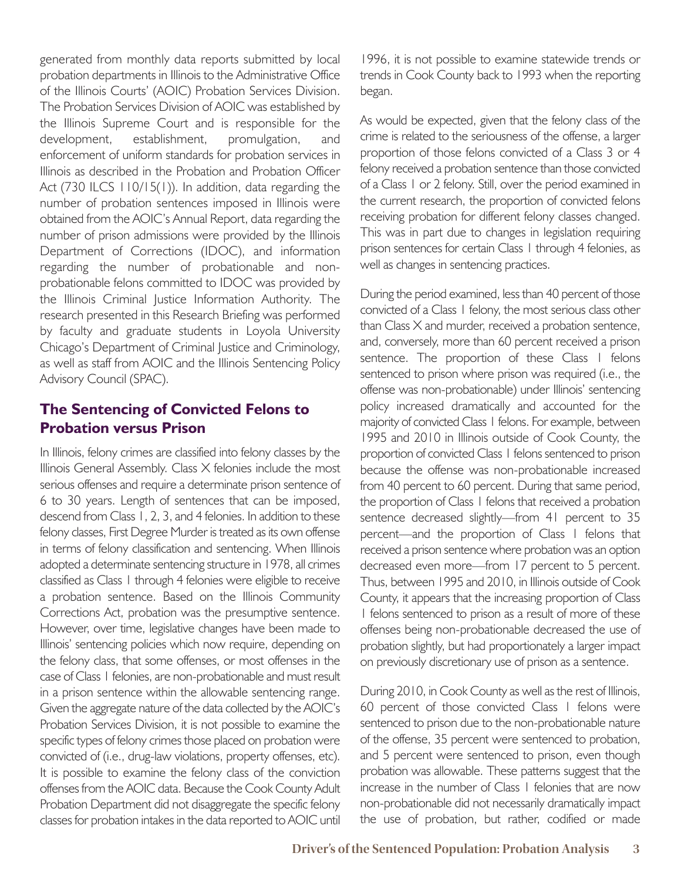generated from monthly data reports submitted by local probation departments in Illinois to the Administrative Office of the Illinois Courts' (AOIC) Probation Services Division. The Probation Services Division of AOIC was established by the Illinois Supreme Court and is responsible for the development, establishment, promulgation, and enforcement of uniform standards for probation services in Illinois as described in the Probation and Probation Officer Act (730 ILCS 110/15(1)). In addition, data regarding the number of probation sentences imposed in Illinois were obtained from the AOIC's Annual Report, data regarding the number of prison admissions were provided by the Illinois Department of Corrections (IDOC), and information regarding the number of probationable and nonprobationable felons committed to IDOC was provided by the Illinois Criminal Justice Information Authority. The research presented in this Research Briefing was performed by faculty and graduate students in Loyola University Chicago's Department of Criminal Justice and Criminology, as well as staff from AOIC and the Illinois Sentencing Policy Advisory Council (SPAC).

# **The Sentencing of Convicted Felons to Probation versus Prison**

In Illinois, felony crimes are classified into felony classes by the Illinois General Assembly. Class X felonies include the most serious offenses and require a determinate prison sentence of 6 to 30 years. Length of sentences that can be imposed, descend from Class 1, 2, 3, and 4 felonies. In addition to these felony classes, First Degree Murder is treated as its own offense in terms of felony classification and sentencing. When Illinois adopted a determinate sentencing structure in 1978, all crimes classified as Class 1 through 4 felonies were eligible to receive a probation sentence. Based on the Illinois Community Corrections Act, probation was the presumptive sentence. However, over time, legislative changes have been made to Illinois' sentencing policies which now require, depending on the felony class, that some offenses, or most offenses in the case of Class 1 felonies, are non-probationable and must result in a prison sentence within the allowable sentencing range. Given the aggregate nature of the data collected by the AOIC's Probation Services Division, it is not possible to examine the specific types of felony crimes those placed on probation were convicted of (i.e., drug-law violations, property offenses, etc). It is possible to examine the felony class of the conviction offenses from the AOIC data. Because the Cook County Adult Probation Department did not disaggregate the specific felony classes for probation intakes in the data reported to AOIC until

1996, it is not possible to examine statewide trends or trends in Cook County back to 1993 when the reporting began.

As would be expected, given that the felony class of the crime is related to the seriousness of the offense, a larger proportion of those felons convicted of a Class 3 or 4 felony received a probation sentence than those convicted of a Class 1 or 2 felony. Still, over the period examined in the current research, the proportion of convicted felons receiving probation for different felony classes changed. This was in part due to changes in legislation requiring prison sentences for certain Class 1 through 4 felonies, as well as changes in sentencing practices.

During the period examined, less than 40 percent of those convicted of a Class 1 felony, the most serious class other than Class X and murder, received a probation sentence, and, conversely, more than 60 percent received a prison sentence. The proportion of these Class I felons sentenced to prison where prison was required (i.e., the offense was non-probationable) under Illinois' sentencing policy increased dramatically and accounted for the majority of convicted Class 1 felons. For example, between 1995 and 2010 in Illinois outside of Cook County, the proportion of convicted Class 1 felons sentenced to prison because the offense was non-probationable increased from 40 percent to 60 percent. During that same period, the proportion of Class 1 felons that received a probation sentence decreased slightly—from 41 percent to 35 percent—and the proportion of Class 1 felons that received a prison sentence where probation was an option decreased even more—from 17 percent to 5 percent. Thus, between 1995 and 2010, in Illinois outside of Cook County, it appears that the increasing proportion of Class 1 felons sentenced to prison as a result of more of these offenses being non-probationable decreased the use of probation slightly, but had proportionately a larger impact on previously discretionary use of prison as a sentence.

During 2010, in Cook County as well as the rest of Illinois, 60 percent of those convicted Class 1 felons were sentenced to prison due to the non-probationable nature of the offense, 35 percent were sentenced to probation, and 5 percent were sentenced to prison, even though probation was allowable. These patterns suggest that the increase in the number of Class 1 felonies that are now non-probationable did not necessarily dramatically impact the use of probation, but rather, codified or made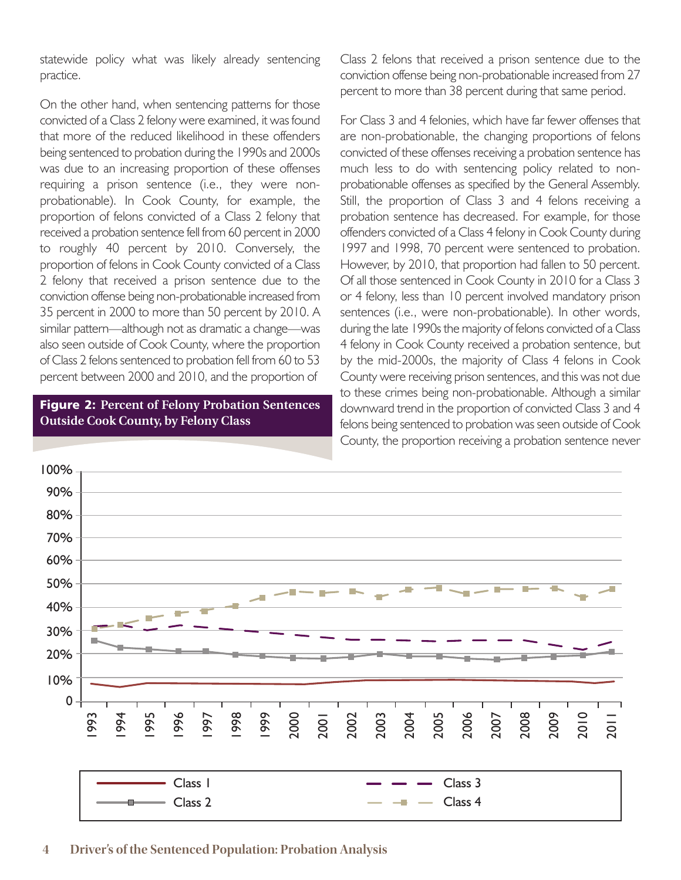statewide policy what was likely already sentencing practice.

On the other hand, when sentencing patterns for those convicted of a Class 2 felony were examined, it was found that more of the reduced likelihood in these offenders being sentenced to probation during the 1990s and 2000s was due to an increasing proportion of these offenses requiring a prison sentence (i.e., they were nonprobationable). In Cook County, for example, the proportion of felons convicted of a Class 2 felony that received a probation sentence fell from 60 percent in 2000 to roughly 40 percent by 2010. Conversely, the proportion of felons in Cook County convicted of a Class 2 felony that received a prison sentence due to the conviction offense being non-probationable increased from 35 percent in 2000 to more than 50 percent by 2010. A similar pattern—although not as dramatic a change—was also seen outside of Cook County, where the proportion of Class 2 felons sentenced to probation fell from 60 to 53 percent between 2000 and 2010, and the proportion of

#### Figure 2: **Percent of Felony Probation Sentences Outside Cook County, by Felony Class**

Class 2 felons that received a prison sentence due to the conviction offense being non-probationable increased from 27 percent to more than 38 percent during that same period.

For Class 3 and 4 felonies, which have far fewer offenses that are non-probationable, the changing proportions of felons convicted of these offenses receiving a probation sentence has much less to do with sentencing policy related to nonprobationable offenses as specified by the General Assembly. Still, the proportion of Class 3 and 4 felons receiving a probation sentence has decreased. For example, for those offenders convicted of a Class 4 felony in Cook County during 1997 and 1998, 70 percent were sentenced to probation. However, by 2010, that proportion had fallen to 50 percent. Of all those sentenced in Cook County in 2010 for a Class 3 or 4 felony, less than 10 percent involved mandatory prison sentences (i.e., were non-probationable). In other words, during the late 1990s the majority of felons convicted of a Class 4 felony in Cook County received a probation sentence, but by the mid-2000s, the majority of Class 4 felons in Cook County were receiving prison sentences, and this was not due to these crimes being non-probationable. Although a similar downward trend in the proportion of convicted Class 3 and 4 felons being sentenced to probation was seen outside of Cook County, the proportion receiving a probation sentence never



#### **4 Driver's of the Sentenced Population: Probation Analysis**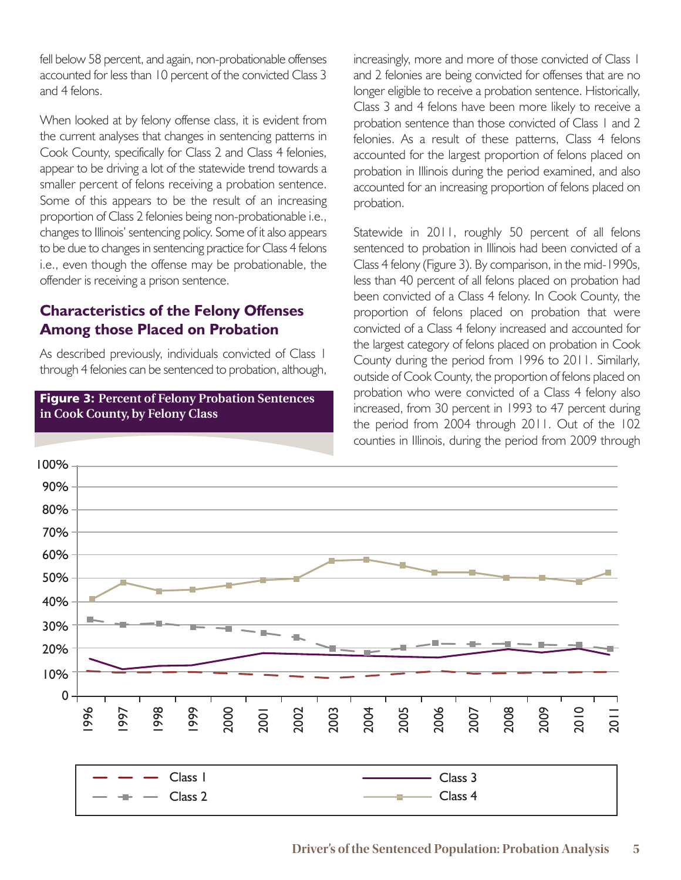fell below 58 percent, and again, non-probationable offenses accounted for less than 10 percent of the convicted Class 3 and 4 felons.

When looked at by felony offense class, it is evident from the current analyses that changes in sentencing patterns in Cook County, specifically for Class 2 and Class 4 felonies, appear to be driving a lot of the statewide trend towards a smaller percent of felons receiving a probation sentence. Some of this appears to be the result of an increasing proportion of Class 2 felonies being non-probationable i.e., changes to Illinois' sentencing policy. Some of it also appears to be due to changes in sentencing practice for Class 4 felons i.e., even though the offense may be probationable, the offender is receiving a prison sentence.

# **Characteristics of the Felony Offenses Among those Placed on Probation**

As described previously, individuals convicted of Class 1 through 4 felonies can be sentenced to probation, although,

#### Figure 3: **Percent of Felony Probation Sentences in Cook County, by Felony Class**

increasingly, more and more of those convicted of Class 1 and 2 felonies are being convicted for offenses that are no longer eligible to receive a probation sentence. Historically, Class 3 and 4 felons have been more likely to receive a probation sentence than those convicted of Class 1 and 2 felonies. As a result of these patterns, Class 4 felons accounted for the largest proportion of felons placed on probation in Illinois during the period examined, and also accounted for an increasing proportion of felons placed on probation.

Statewide in 2011, roughly 50 percent of all felons sentenced to probation in Illinois had been convicted of a Class 4 felony (Figure 3). By comparison, in the mid-1990s, less than 40 percent of all felons placed on probation had been convicted of a Class 4 felony. In Cook County, the proportion of felons placed on probation that were convicted of a Class 4 felony increased and accounted for the largest category of felons placed on probation in Cook County during the period from 1996 to 2011. Similarly, outside of Cook County, the proportion of felons placed on probation who were convicted of a Class 4 felony also increased, from 30 percent in 1993 to 47 percent during the period from 2004 through 2011. Out of the 102 counties in Illinois, during the period from 2009 through

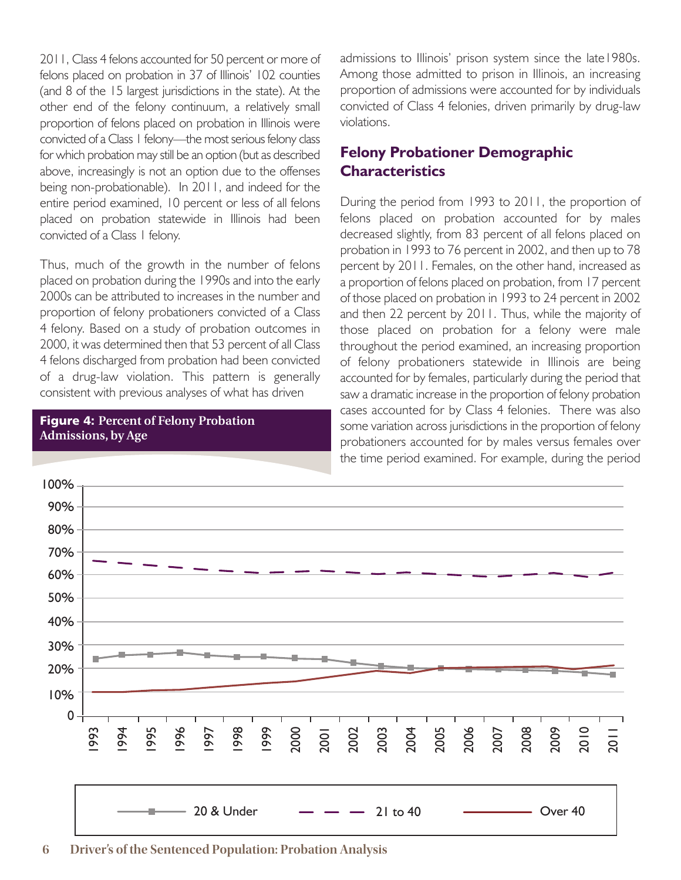2011, Class 4 felons accounted for 50 percent or more of felons placed on probation in 37 of Illinois' 102 counties (and 8 of the 15 largest jurisdictions in the state). At the other end of the felony continuum, a relatively small proportion of felons placed on probation in Illinois were convicted of a Class 1 felony—the most serious felony class for which probation may still be an option (but as described above, increasingly is not an option due to the offenses being non-probationable). In 2011, and indeed for the entire period examined, 10 percent or less of all felons placed on probation statewide in Illinois had been convicted of a Class 1 felony.

Thus, much of the growth in the number of felons placed on probation during the 1990s and into the early 2000s can be attributed to increases in the number and proportion of felony probationers convicted of a Class 4 felony. Based on a study of probation outcomes in 2000, it was determined then that 53 percent of all Class 4 felons discharged from probation had been convicted of a drug-law violation. This pattern is generally consistent with previous analyses of what has driven



admissions to Illinois' prison system since the late1980s. Among those admitted to prison in Illinois, an increasing proportion of admissions were accounted for by individuals convicted of Class 4 felonies, driven primarily by drug-law violations.

# **Felony Probationer Demographic Characteristics**

During the period from 1993 to 2011, the proportion of felons placed on probation accounted for by males decreased slightly, from 83 percent of all felons placed on probation in 1993 to 76 percent in 2002, and then up to 78 percent by 2011. Females, on the other hand, increased as a proportion of felons placed on probation, from 17 percent of those placed on probation in 1993 to 24 percent in 2002 and then 22 percent by 2011. Thus, while the majority of those placed on probation for a felony were male throughout the period examined, an increasing proportion of felony probationers statewide in Illinois are being accounted for by females, particularly during the period that saw a dramatic increase in the proportion of felony probation cases accounted for by Class 4 felonies. There was also some variation across jurisdictions in the proportion of felony probationers accounted for by males versus females over the time period examined. For example, during the period



#### **6 Driver's of the Sentenced Population: Probation Analysis**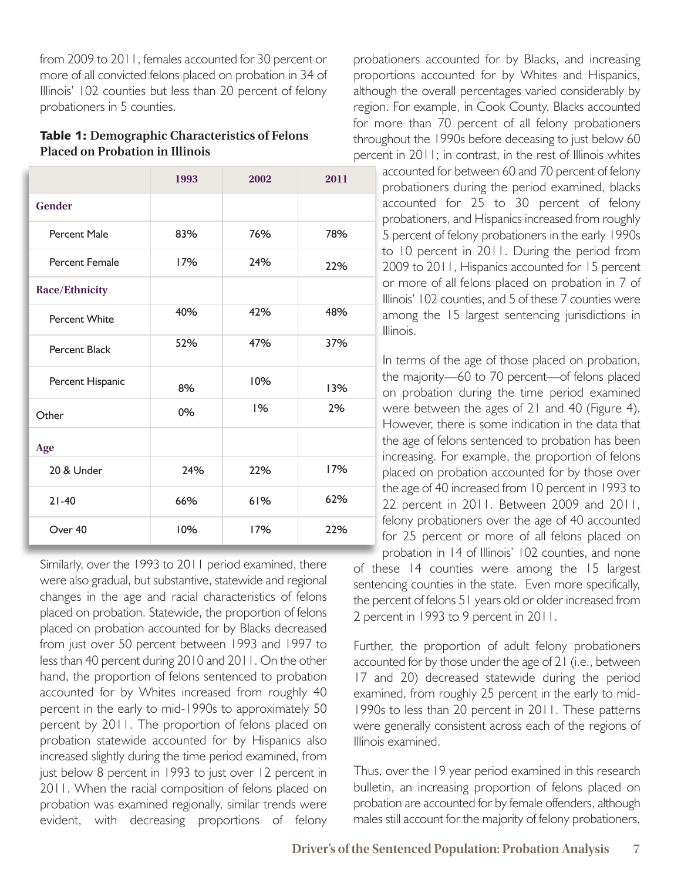from 2009 to 2011, females accounted for 30 percent or more of all convicted felons placed on probation in 34 of Illinois' 102 counties but less than 20 percent of felony probationers in 5 counties.

#### Table 1: **Demographic Characteristics of Felons Placed on Probation in Illinois**

|                       | 1993 | 2002 | 2011 |
|-----------------------|------|------|------|
| <b>Gender</b>         |      |      |      |
| Percent Male          | 83%  | 76%  | 78%  |
| <b>Percent Female</b> | 17%  | 24%  | 22%  |
| Race/Ethnicity        |      |      |      |
| Percent White         | 40%  | 42%  | 48%  |
| Percent Black         | 52%  | 47%  | 37%  |
| Percent Hispanic      | 8%   | 10%  | 13%  |
| Other                 | 0%   | 1%   | 2%   |
| Age                   |      |      |      |
| 20 & Under            | 24%  | 22%  | 17%  |
| $21 - 40$             | 66%  | 61%  | 62%  |
| Over 40               | 10%  | 17%  | 22%  |

Similarly, over the 1993 to 2011 period examined, there were also gradual, but substantive, statewide and regional changes in the age and racial characteristics of felons placed on probation. Statewide, the proportion of felons placed on probation accounted for by Blacks decreased from just over 50 percent between 1993 and 1997 to less than 40 percent during 2010 and 2011. On the other hand, the proportion of felons sentenced to probation accounted for by Whites increased from roughly 40 percent in the early to mid-1990s to approximately 50 percent by 2011. The proportion of felons placed on probation statewide accounted for by Hispanics also increased slightly during the time period examined, from just below 8 percent in 1993 to just over 12 percent in 2011. When the racial composition of felons placed on probation was examined regionally, similar trends were evident, with decreasing proportions of felony

probationers accounted for by Blacks, and increasing proportions accounted for by Whites and Hispanics, although the overall percentages varied considerably by region. For example, in Cook County, Blacks accounted for more than 70 percent of all felony probationers throughout the 1990s before deceasing to just below 60 percent in 2011; in contrast, in the rest of Illinois whites

accounted for between 60 and 70 percent of felony probationers during the period examined, blacks accounted for 25 to 30 percent of felony probationers, and Hispanics increased from roughly 5 percent of felony probationers in the early 1990s to 10 percent in 2011. During the period from 2009 to 2011, Hispanics accounted for 15 percent or more of all felons placed on probation in 7 of Illinois' 102 counties, and 5 of these 7 counties were among the 15 largest sentencing jurisdictions in Illinois.

In terms of the age of those placed on probation, the majority—60 to 70 percent—of felons placed on probation during the time period examined were between the ages of 21 and 40 (Figure 4). However, there is some indication in the data that the age of felons sentenced to probation has been increasing. For example, the proportion of felons placed on probation accounted for by those over the age of 40 increased from 10 percent in 1993 to 22 percent in 2011. Between 2009 and 2011, felony probationers over the age of 40 accounted for 25 percent or more of all felons placed on probation in 14 of Illinois' 102 counties, and none

of these 14 counties were among the 15 largest sentencing counties in the state. Even more specifically, the percent of felons 51 years old or older increased from 2 percent in 1993 to 9 percent in 2011.

Further, the proportion of adult felony probationers accounted for by those under the age of 21 (i.e., between 17 and 20) decreased statewide during the period examined, from roughly 25 percent in the early to mid-1990s to less than 20 percent in 2011. These patterns were generally consistent across each of the regions of Illinois examined.

Thus, over the 19 year period examined in this research bulletin, an increasing proportion of felons placed on probation are accounted for by female offenders, although males still account for the majority of felony probationers,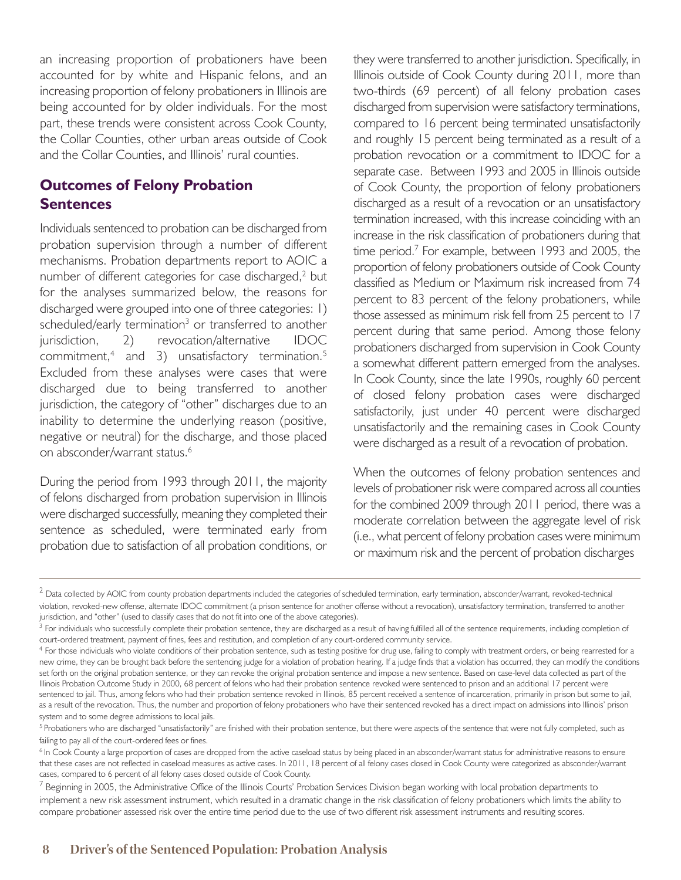an increasing proportion of probationers have been accounted for by white and Hispanic felons, and an increasing proportion of felony probationers in Illinois are being accounted for by older individuals. For the most part, these trends were consistent across Cook County, the Collar Counties, other urban areas outside of Cook and the Collar Counties, and Illinois' rural counties.

# **Outcomes of Felony Probation Sentences**

Individuals sentenced to probation can be discharged from probation supervision through a number of different mechanisms. Probation departments report to AOIC a number of different categories for case discharged, <sup>2</sup> but for the analyses summarized below, the reasons for discharged were grouped into one of three categories: 1) scheduled/early termination<sup>3</sup> or transferred to another jurisdiction, 2) revocation/alternative IDOC commitment, <sup>4</sup> and 3) unsatisfactory termination. 5 Excluded from these analyses were cases that were discharged due to being transferred to another jurisdiction, the category of "other" discharges due to an inability to determine the underlying reason (positive, negative or neutral) for the discharge, and those placed on absconder/warrant status. 6

During the period from 1993 through 2011, the majority of felons discharged from probation supervision in Illinois were discharged successfully, meaning they completed their sentence as scheduled, were terminated early from probation due to satisfaction of all probation conditions, or

they were transferred to another jurisdiction. Specifically, in Illinois outside of Cook County during 2011, more than two-thirds (69 percent) of all felony probation cases discharged from supervision were satisfactory terminations, compared to 16 percent being terminated unsatisfactorily and roughly 15 percent being terminated as a result of a probation revocation or a commitment to IDOC for a separate case. Between 1993 and 2005 in Illinois outside of Cook County, the proportion of felony probationers discharged as a result of a revocation or an unsatisfactory termination increased, with this increase coinciding with an increase in the risk classification of probationers during that time period. <sup>7</sup> For example, between 1993 and 2005, the proportion of felony probationers outside of Cook County classified as Medium or Maximum risk increased from 74 percent to 83 percent of the felony probationers, while those assessed as minimum risk fell from 25 percent to 17 percent during that same period. Among those felony probationers discharged from supervision in Cook County a somewhat different pattern emerged from the analyses. In Cook County, since the late 1990s, roughly 60 percent of closed felony probation cases were discharged satisfactorily, just under 40 percent were discharged unsatisfactorily and the remaining cases in Cook County were discharged as a result of a revocation of probation.

When the outcomes of felony probation sentences and levels of probationer risk were compared across all counties for the combined 2009 through 2011 period, there was a moderate correlation between the aggregate level of risk (i.e., what percent of felony probation cases were minimum or maximum risk and the percent of probation discharges

 $^2$  Data collected by AOIC from county probation departments included the categories of scheduled termination, early termination, absconder/warrant, revoked-technical violation, revoked-new offense, alternate IDOC commitment (a prison sentence for another offense without a revocation), unsatisfactory termination, transferred to another jurisdiction, and "other" (used to classify cases that do not fit into one of the above categories).

<sup>&</sup>lt;sup>3</sup> For individuals who successfully complete their probation sentence, they are discharged as a result of having fulfilled all of the sentence requirements, including completion of court-ordered treatment, payment of fines, fees and restitution, and completion of any court-ordered community service.

<sup>&</sup>lt;sup>4</sup> For those individuals who violate conditions of their probation sentence, such as testing positive for drug use, failing to comply with treatment orders, or being rearrested for a new crime, they can be brought back before the sentencing judge for a violation of probation hearing. If a judge finds that a violation has occurred, they can modify the conditions set forth on the original probation sentence, or they can revoke the original probation sentence and impose a new sentence. Based on case-level data collected as part of the Illinois Probation Outcome Study in 2000, 68 percent of felons who had their probation sentence revoked were sentenced to prison and an additional 17 percent were sentenced to jail. Thus, among felons who had their probation sentence revoked in Illinois, 85 percent received a sentence of incarceration, primarily in prison but some to jail, as a result of the revocation. Thus, the number and proportion of felony probationers who have their sentenced revoked has a direct impact on admissions into Illinois' prison system and to some degree admissions to local jails.

<sup>&</sup>lt;sup>5</sup> Probationers who are discharged "unsatisfactorily" are finished with their probation sentence, but there were aspects of the sentence that were not fully completed, such as failing to pay all of the court-ordered fees or fines.

<sup>&</sup>lt;sup>6</sup> In Cook County a large proportion of cases are dropped from the active caseload status by being placed in an absconder/warrant status for administrative reasons to ensure that these cases are not reflected in caseload measures as active cases. In 2011, 18 percent of all felony cases closed in Cook County were categorized as absconder/warrant cases, compared to 6 percent of all felony cases closed outside of Cook County.

<sup>&</sup>lt;sup>/</sup> Beginning in 2005, the Administrative Office of the Illinois Courts' Probation Services Division began working with local probation departments to implement a new risk assessment instrument, which resulted in a dramatic change in the risk classification of felony probationers which limits the ability to compare probationer assessed risk over the entire time period due to the use of two different risk assessment instruments and resulting scores.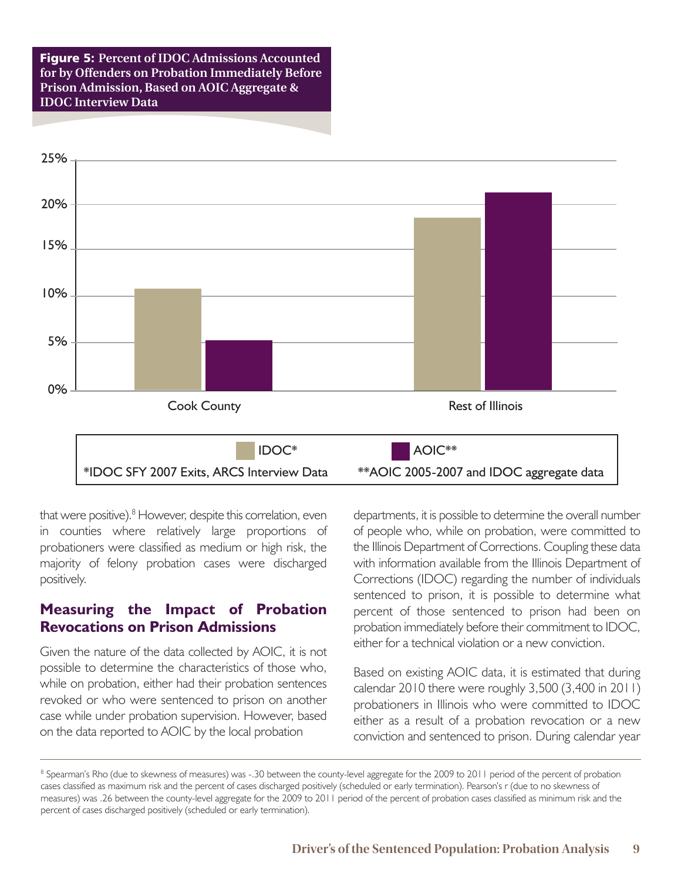Figure 5: **Percent of IDOC Admissions Accounted for by Offenders on Probation Immediately Before Prison Admission, Based on AOIC Aggregate & IDOC Interview Data**



that were positive). <sup>8</sup> However, despite this correlation, even in counties where relatively large proportions of probationers were classified as medium or high risk, the majority of felony probation cases were discharged positively.

#### **Measuring the Impact of Probation Revocations on Prison Admissions**

Given the nature of the data collected by AOIC, it is not possible to determine the characteristics of those who, while on probation, either had their probation sentences revoked or who were sentenced to prison on another case while under probation supervision. However, based on the data reported to AOIC by the local probation

departments, it is possible to determine the overall number of people who, while on probation, were committed to the Illinois Department of Corrections. Coupling these data with information available from the Illinois Department of Corrections (IDOC) regarding the number of individuals sentenced to prison, it is possible to determine what percent of those sentenced to prison had been on probation immediately before their commitment to IDOC, either for a technical violation or a new conviction.

Based on existing AOIC data, it is estimated that during calendar 2010 there were roughly 3,500 (3,400 in 2011) probationers in Illinois who were committed to IDOC either as a result of a probation revocation or a new conviction and sentenced to prison. During calendar year

<sup>&</sup>lt;sup>8</sup> Spearman's Rho (due to skewness of measures) was -.30 between the county-level aggregate for the 2009 to 2011 period of the percent of probation cases classified as maximum risk and the percent of cases discharged positively (scheduled or early termination). Pearson's r (due to no skewness of measures) was .26 between the county-level aggregate for the 2009 to 2011 period of the percent of probation cases classified as minimum risk and the percent of cases discharged positively (scheduled or early termination).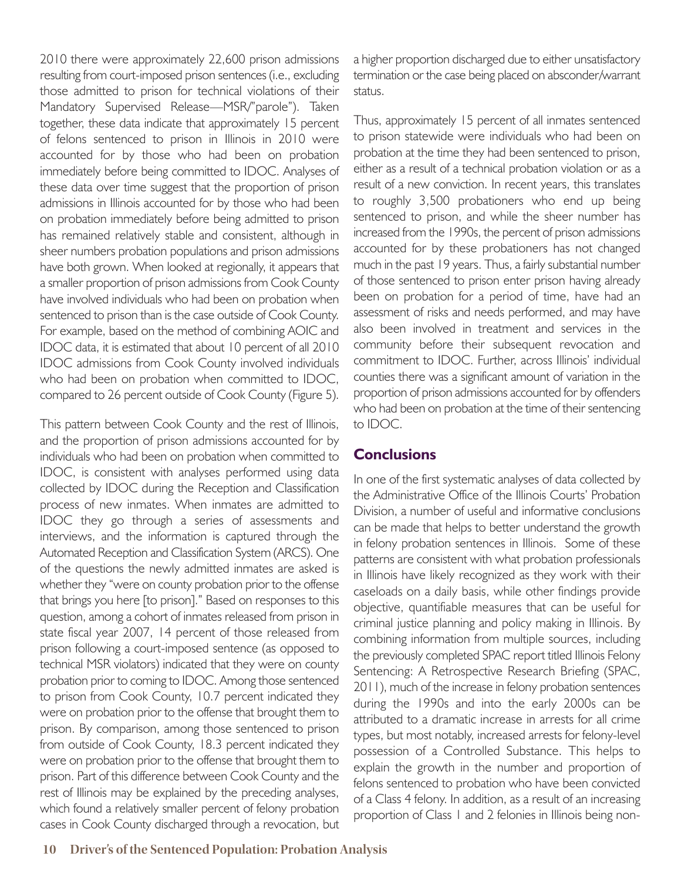2010 there were approximately 22,600 prison admissions resulting from court-imposed prison sentences (i.e., excluding those admitted to prison for technical violations of their Mandatory Supervised Release—MSR/"parole"). Taken together, these data indicate that approximately 15 percent of felons sentenced to prison in Illinois in 2010 were accounted for by those who had been on probation immediately before being committed to IDOC. Analyses of these data over time suggest that the proportion of prison admissions in Illinois accounted for by those who had been on probation immediately before being admitted to prison has remained relatively stable and consistent, although in sheer numbers probation populations and prison admissions have both grown. When looked at regionally, it appears that a smaller proportion of prison admissions from Cook County have involved individuals who had been on probation when sentenced to prison than is the case outside of Cook County. For example, based on the method of combining AOIC and IDOC data, it is estimated that about 10 percent of all 2010 IDOC admissions from Cook County involved individuals who had been on probation when committed to IDOC, compared to 26 percent outside of Cook County (Figure 5).

This pattern between Cook County and the rest of Illinois, and the proportion of prison admissions accounted for by individuals who had been on probation when committed to IDOC, is consistent with analyses performed using data collected by IDOC during the Reception and Classification process of new inmates. When inmates are admitted to IDOC they go through a series of assessments and interviews, and the information is captured through the Automated Reception and Classification System (ARCS). One of the questions the newly admitted inmates are asked is whether they "were on county probation prior to the offense that brings you here [to prison]." Based on responses to this question, among a cohort of inmates released from prison in state fiscal year 2007, 14 percent of those released from prison following a court-imposed sentence (as opposed to technical MSR violators) indicated that they were on county probation prior to coming to IDOC. Among those sentenced to prison from Cook County, 10.7 percent indicated they were on probation prior to the offense that brought them to prison. By comparison, among those sentenced to prison from outside of Cook County, 18.3 percent indicated they were on probation prior to the offense that brought them to prison. Part of this difference between Cook County and the rest of Illinois may be explained by the preceding analyses, which found a relatively smaller percent of felony probation cases in Cook County discharged through a revocation, but

a higher proportion discharged due to either unsatisfactory termination or the case being placed on absconder/warrant status.

Thus, approximately 15 percent of all inmates sentenced to prison statewide were individuals who had been on probation at the time they had been sentenced to prison, either as a result of a technical probation violation or as a result of a new conviction. In recent years, this translates to roughly 3,500 probationers who end up being sentenced to prison, and while the sheer number has increased from the 1990s, the percent of prison admissions accounted for by these probationers has not changed much in the past 19 years. Thus, a fairly substantial number of those sentenced to prison enter prison having already been on probation for a period of time, have had an assessment of risks and needs performed, and may have also been involved in treatment and services in the community before their subsequent revocation and commitment to IDOC. Further, across Illinois' individual counties there was a significant amount of variation in the proportion of prison admissions accounted for by offenders who had been on probation at the time of their sentencing to IDOC.

## **Conclusions**

In one of the first systematic analyses of data collected by the Administrative Office of the Illinois Courts' Probation Division, a number of useful and informative conclusions can be made that helps to better understand the growth in felony probation sentences in Illinois. Some of these patterns are consistent with what probation professionals in Illinois have likely recognized as they work with their caseloads on a daily basis, while other findings provide objective, quantifiable measures that can be useful for criminal justice planning and policy making in Illinois. By combining information from multiple sources, including the previously completed SPAC report titled Illinois Felony Sentencing: A Retrospective Research Briefing (SPAC, 2011), much of the increase in felony probation sentences during the 1990s and into the early 2000s can be attributed to a dramatic increase in arrests for all crime types, but most notably, increased arrests for felony-level possession of a Controlled Substance. This helps to explain the growth in the number and proportion of felons sentenced to probation who have been convicted of a Class 4 felony. In addition, as a result of an increasing proportion of Class 1 and 2 felonies in Illinois being non-